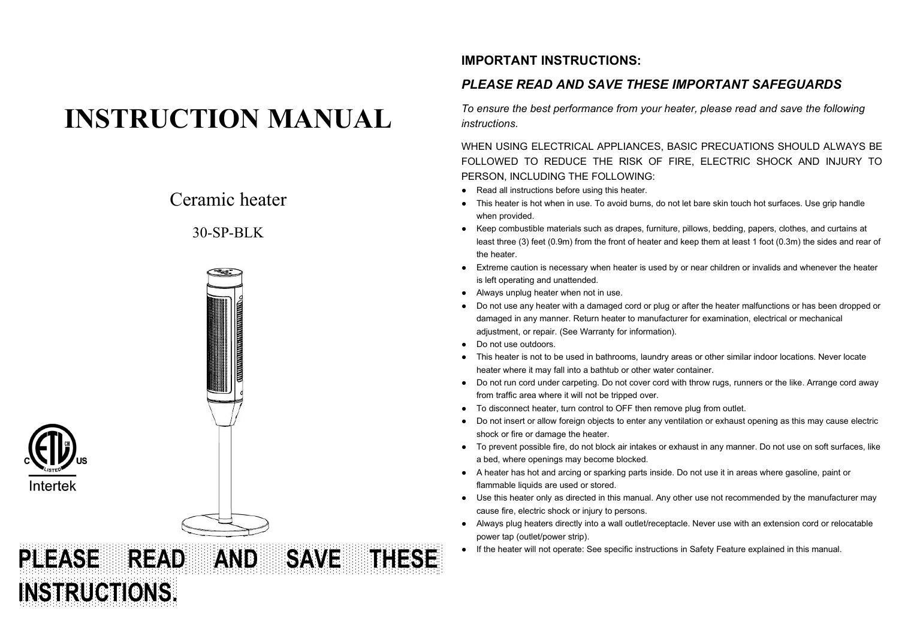# **INSTRUCTION MANUAL**

## Ceramic heater

### $30-\text{SP-BLK}$



### **IMPORTANT INSTRUCTIONS:**

### *PLEASE READ AND SAVE THESE IMPORTANT SAFEGUARDS*

*To ensure the best performance from your heater, please read and save the following instructions.*

WHEN USING ELECTRICAL APPLIANCES, BASIC PRECUATIONS SHOULD ALWAYS BE FOLLOWED TO REDUCE THE RISK OF FIRE, ELECTRIC SHOCK AND INJURY TO PERSON, INCLUDING THE FOLLOWING:

- 
- Read all instructions before using this heater.<br>● This heater is hot when in use. To avoid burns, do not let bare skin touch hot surfaces. Use grip handle when provided.
- Keep combustible materials such as drapes, furniture, pillows, bedding, papers, clothes, and curtains at least three (3) feet (0.9m) from the front of heater and keep them at least 1 foot (0.3m) the sides and rear of the heater.
- Extreme caution is necessary when heater is used by or near children or invalids and whenever the heater is left operating and unattended.
- Always unplug heater when not in use.
- Do not use any heater with a damaged cord or plug or after the heater malfunctions or has been dropped or damaged in any manner. Return heater to manufacturer for examination, electrical or mechanical adjustment, or repair. (See Warranty for information).
- Do not use outdoors.
- This heater is not to be used in bathrooms, laundry areas or other similar indoor locations. Never locate heater where it may fall into a bathtub or other water container.
- Do not run cord under carpeting. Do not cover cord with throw rugs, runners orthe like. Arrange cord away from traffic area where it will not be tripped over.
- To disconnect heater, turn control to OFF then remove plug from outlet.
- Do not insert or allow foreign objects to enter any ventilation or exhaust opening as this may cause electric shock or fire or damage the heater.
- To prevent possible fire, do not block air intakes or exhaust in any manner. Do not use on soft surfaces, like a bed, where openings may become blocked.
- A heater has hot and arcing or sparking parts inside. Do not use it in areas where gasoline, paint or flammable liquids are used or stored.
- Use this heater only as directed in this manual. Any other use not recommended by the manufacturer may cause fire, electric shock or injury to persons.
- Always plug heaters directly into a wall outlet/receptacle. Never use with an extension cord or relocatable power tap (outlet/power strip).
- If the heater will not operate: See specific instructions in Safety Feature explained in this manual.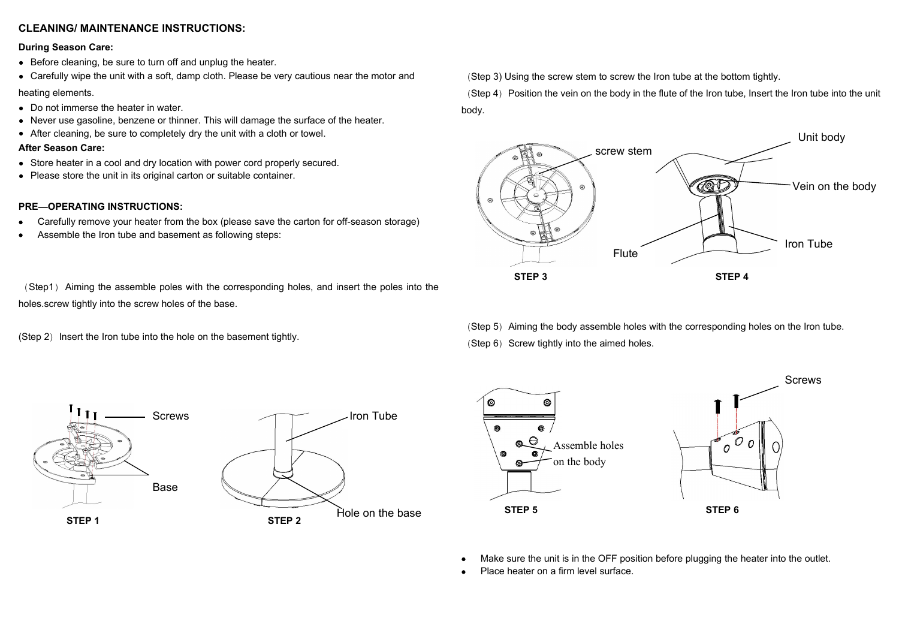#### **CLEANING/ MAINTENANCE INSTRUCTIONS:**

#### **During Season Care:**

- Before cleaning, be sure to turn off and unplug the heater.
- Carefully wipe the unit with a soft, damp cloth. Please be very cautious near the motor and

#### heating elements.

- Do not immerse the heater in water.
- Never use gasoline, benzene or thinner. This will damage the surface of the heater.
- After cleaning, be sure to completely dry the unit with a cloth or towel.

#### **After Season Care:**

- Store heater in a cool and dry location with power cord properly secured.
- Please store the unit in its original carton or suitable container.

#### **PRE—OPERATING INSTRUCTIONS:**

- Carefully remove your heater from the box (please save the carton for off-season storage)
- Assemble the Iron tube and basement as following steps:

(Step1) Aiming the assemble poles with the corresponding holes, and insert the poles into the holes.screw tightly into the screw holes of the base.

(Step 2) Insert the Iron tube into the hole on the basement tightly.

(Step 3) Using the screw stem to screw the Iron tube at the bottom tightly.

(Step 4) Position the vein on the body in the flute of the Iron tube, Insert the Iron tube into the unit body.



(Step 5) Aiming the body assemble holes with the corresponding holes on the Iron tube. (Step  $6$ ) Screw tightly into the aimed holes.





- Make sure the unit is in the OFF position before plugging the heater into the outlet.
- Place heater on a firm level surface.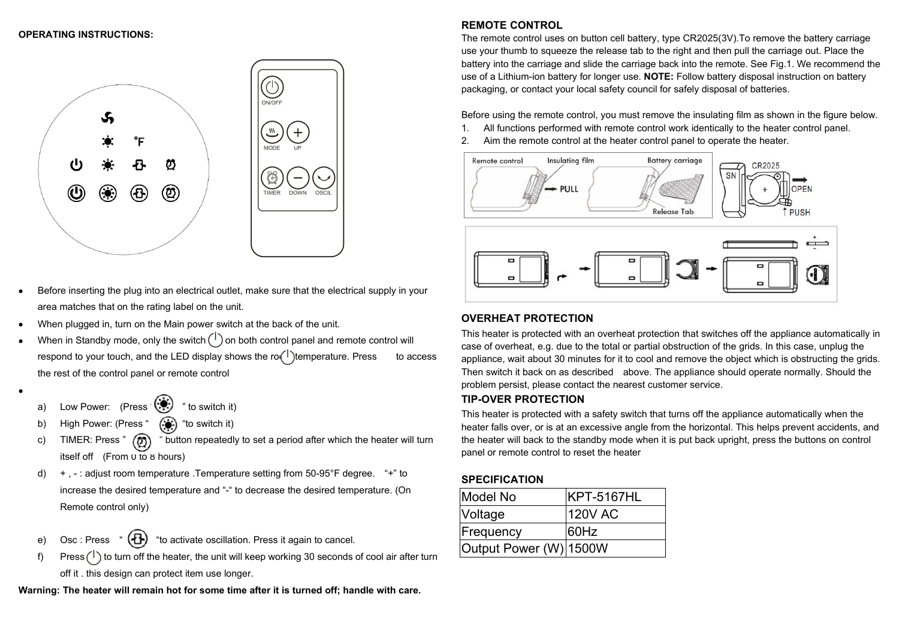#### **OPERATING INSTRUCTIONS:**



- Before inserting the plug into an electrical outlet, make sure that the electrical supply in your area matches that on the rating label on the unit.
- When plugged in, turn on the Main power switch at the back of the unit.
- When in Standby mode, only the switch  $\binom{1}{1}$  on both control panel and remote control will respond to your touch, and the LED display shows the ro $(1)$ temperature. Press to access the rest of the control panel or remote control
- $\bullet$  and the state of  $\bullet$ a) Low Power: (Press  $(\mathcal{P})$  " to switch it)
	- b) High Power: (Press "  $(*)$  "to switch it)
	- c) TIMER: Press "  $\circled{r}$  " button repeatedly to set a period after which the heater will turn itself off  $(From  $0$  to  $8$  hours)$
	- d) + , : adjust room temperature .Temperature setting from 50-95°F degree. "+" to increase the desired temperature and "-" to decrease the desired temperature. (On Remote control only)
	- e) Osc : Press  $\left(\overline{\mathbf{B}}\right)$  "to activate oscillation. Press it again to cancel.
	- f) Press  $(1)$  to turn off the heater, the unit will keep working 30 seconds of cool air after turn off it . this design can protect item use longer.

**Warning: The heater will remain hot for some time after it is turned off; handle with care.**

#### **REMOTE CONTROL**

The remote control uses on button cell battery, type CR2025(3V).To remove the battery carriage use your thumb to squeeze the release tab to the right and then pull the carriage out. Place the battery into the carriage and slide the carriage back into the remote. See Fig.1. We recommend the use of a Lithium-ion battery for longer use. **NOTE:** Follow battery disposal instruction on battery packaging, or contact your local safety council for safely disposal of batteries.

Before using the remote control, you must remove the insulating film as shown in the figure below.

- 1. All functions performed with remote control work identically to the heater control panel.
- 2. Aim the remote control at the heater control panel to operate the heater.



#### **OVERHEAT PROTECTION**

This heater is protected with an overheat protection that switches off the appliance automatically in case of overheat, e.g. due to the total or partial obstruction of the grids. In this case, unplug the appliance, wait about 30 minutes for it to cool and remove the object which is obstructing the grids. Then switch it back on as described above. The appliance should operate normally. Should the problem persist, please contact the nearest customer service.

#### **TIP-OVER PROTECTION**

This heater is protected with a safety switch that turns off the appliance automatically when the heater falls over, or is at an excessive angle from the horizontal. This helps prevent accidents, and the heater will back to the standby mode when it is put back upright, press the buttons on control panel or remote control to reset the heater

#### **SPECIFICATION**

| Model No               | KPT-5167HL |
|------------------------|------------|
| <b>Voltage</b>         | 120V AC    |
| Frequency              | 60Hz       |
| Output Power (W) 1500W |            |